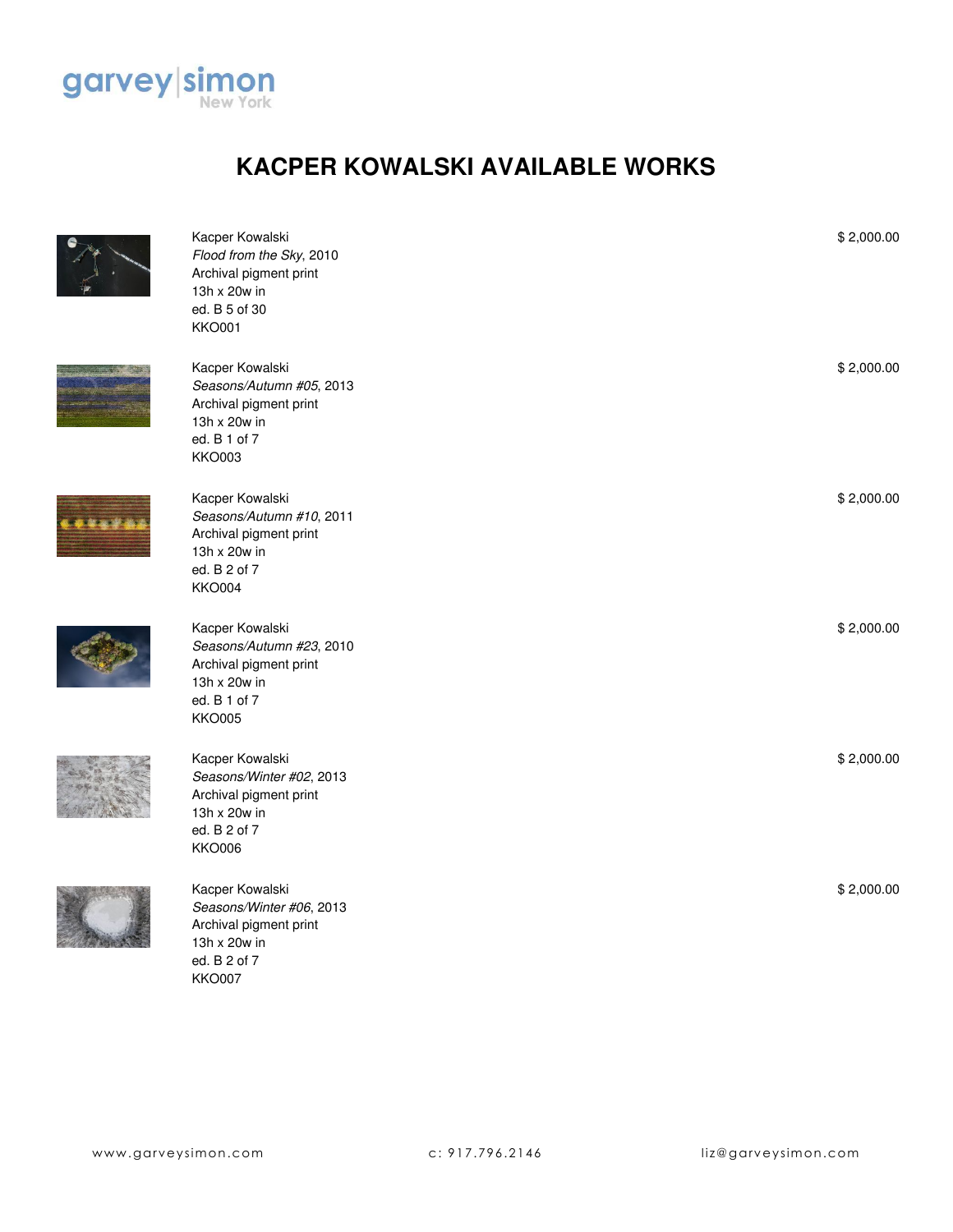

## **KACPER KOWALSKI AVAILABLE WORKS**



**The Magazine** 

| Kacper Kowalski<br>Flood from the Sky, 2010<br>Archival pigment print<br>13h x 20w in<br>ed. B 5 of 30<br><b>KKO001</b> | \$2,000.00 |
|-------------------------------------------------------------------------------------------------------------------------|------------|
| Kacper Kowalski<br>Seasons/Autumn #05, 2013<br>Archival pigment print<br>13h x 20w in<br>ed. B 1 of 7<br><b>KKO003</b>  | \$2,000.00 |
| Kacper Kowalski<br>Seasons/Autumn #10, 2011<br>Archival pigment print<br>13h x 20w in<br>ed. B 2 of 7<br><b>KKO004</b>  | \$2,000.00 |
| Kacper Kowalski<br>Seasons/Autumn #23, 2010<br>Archival pigment print<br>13h x 20w in<br>ed. B 1 of 7<br><b>KKO005</b>  | \$2,000.00 |
| Kacper Kowalski<br>Seasons/Winter #02, 2013<br>Archival pigment print<br>13h x 20w in<br>ed. B 2 of 7<br><b>KKO006</b>  | \$2,000.00 |
| Kacper Kowalski<br>Seasons/Winter #06, 2013<br>Archival pigment print<br>13h x 20w in<br>ed. B 2 of 7<br><b>KKO007</b>  | \$2,000.00 |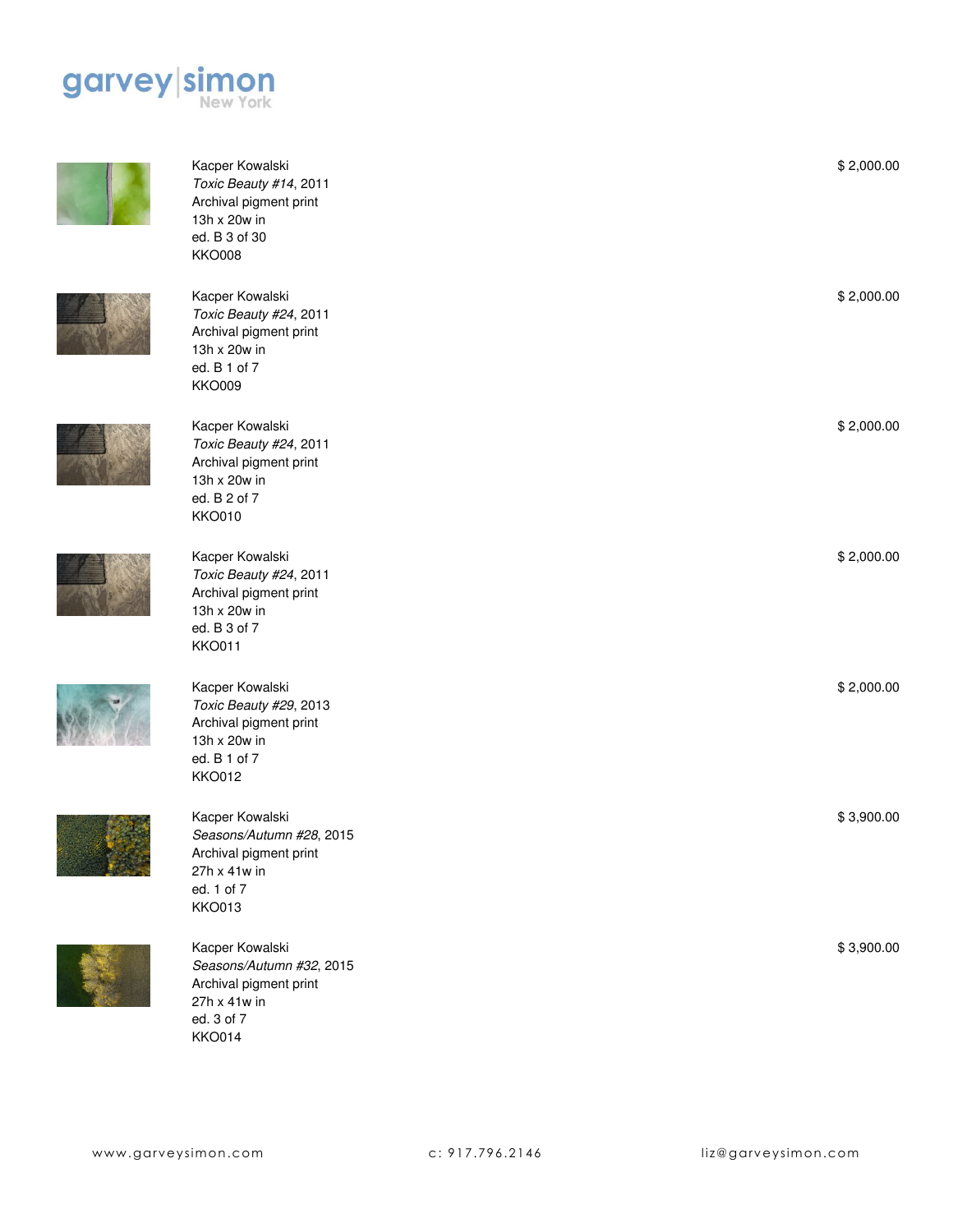

Kacper Kowalski *Toxic Beauty #14*, 2011 Archival pigment print

13h x 20w in ed. B 3 of 30 KKO008













Kacper Kowalski *Toxic Beauty #24*, 2011 Archival pigment print



*Seasons/Autumn #32*, 2015 Archival pigment print 27h x 41w in ed. 3 of 7 KKO014

Kacper Kowalski *Toxic Beauty #24*, 2011 Archival pigment print 13h x 20w in ed. B 1 of 7 KKO009 Kacper Kowalski *Toxic Beauty #24*, 2011 Archival pigment print 13h x 20w in ed. B 2 of 7 KKO010

13h x 20w in ed. B 3 of 7 KKO011 Kacper Kowalski *Toxic Beauty #29*, 2013 Archival pigment print 13h x 20w in ed. B 1 of 7 KKO012 Kacper Kowalski

\$ 2,000.00

\$ 2,000.00

\$ 2,000.00

\$ 2,000.00

\$ 2,000.00

\$ 3,900.00

\$ 3,900.00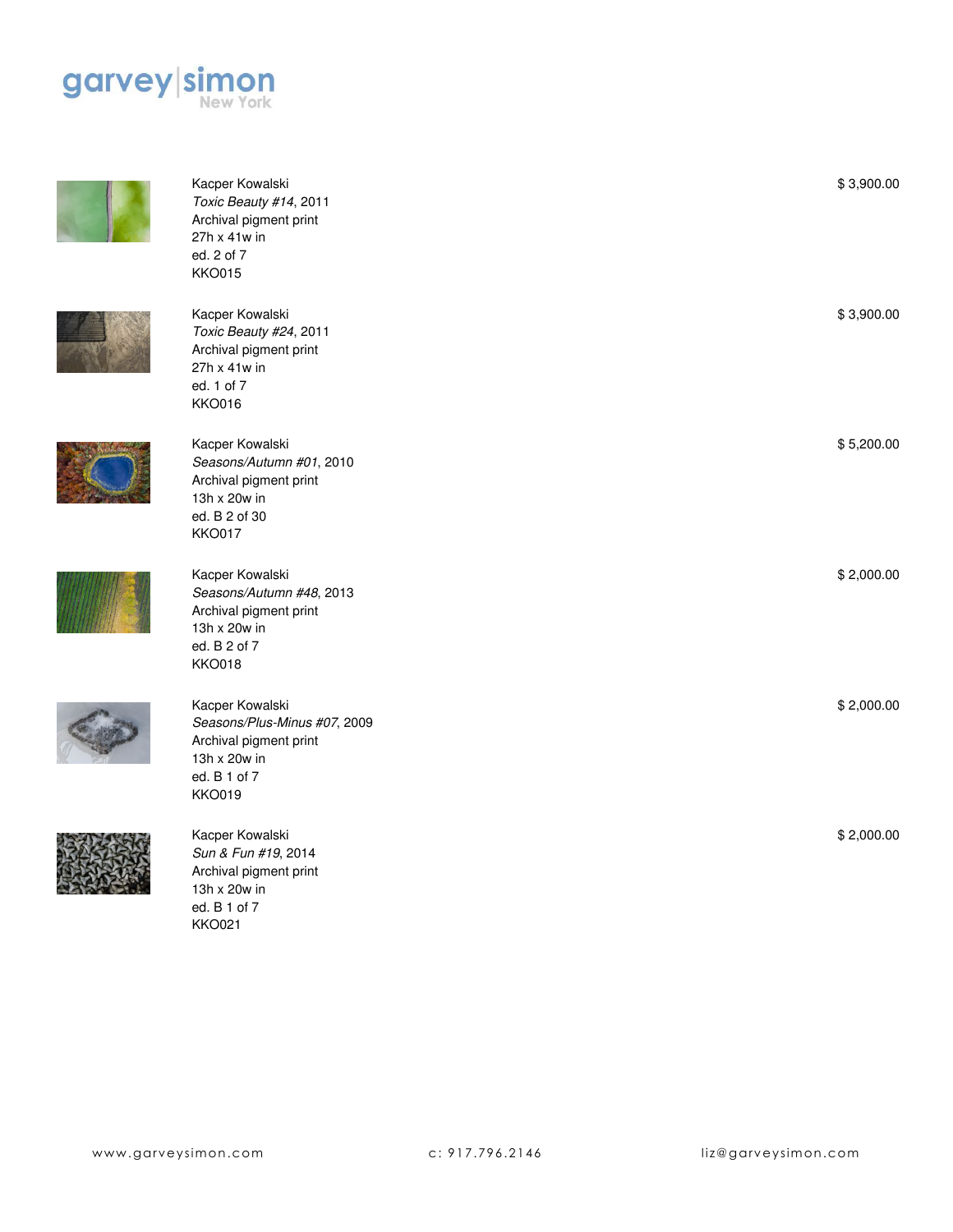







KKO021